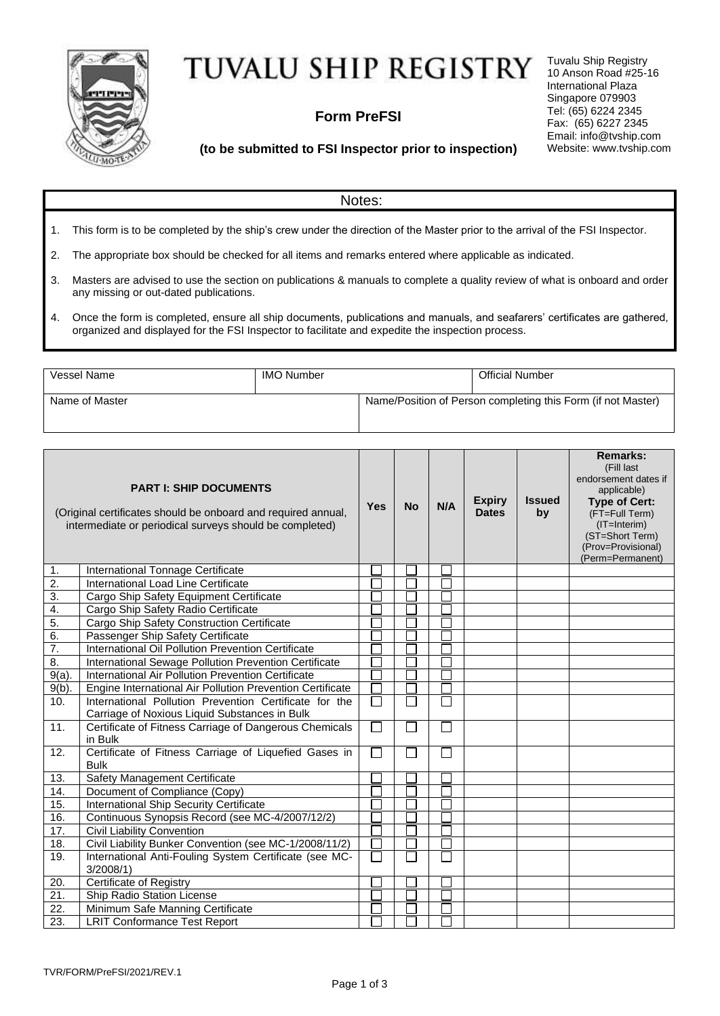

## TUVALU SHIP REGISTRY

## **Form PreFSI**

Tuvalu Ship Registry 10 Anson Road #25-16 International Plaza Singapore 079903 Tel: (65) 6224 2345 Fax: (65) 6227 2345 Email: info@tvship.com Website: [www.t](http://www.mgnship.mn/)vship.com

## **(to be submitted to FSI Inspector prior to inspection)**

|                                  | Notes:                                                                                                                                                                                                                         |                                                              |                        |  |  |  |
|----------------------------------|--------------------------------------------------------------------------------------------------------------------------------------------------------------------------------------------------------------------------------|--------------------------------------------------------------|------------------------|--|--|--|
| 1.                               | This form is to be completed by the ship's crew under the direction of the Master prior to the arrival of the FSI Inspector.                                                                                                   |                                                              |                        |  |  |  |
| 2.                               | The appropriate box should be checked for all items and remarks entered where applicable as indicated.                                                                                                                         |                                                              |                        |  |  |  |
| 3.                               | Masters are advised to use the section on publications & manuals to complete a quality review of what is onboard and order<br>any missing or out-dated publications.                                                           |                                                              |                        |  |  |  |
| 4.                               | Once the form is completed, ensure all ship documents, publications and manuals, and seafarers' certificates are gathered,<br>organized and displayed for the FSI Inspector to facilitate and expedite the inspection process. |                                                              |                        |  |  |  |
|                                  |                                                                                                                                                                                                                                |                                                              |                        |  |  |  |
| Vessel Name<br><b>IMO Number</b> |                                                                                                                                                                                                                                |                                                              | <b>Official Number</b> |  |  |  |
| Name of Master                   |                                                                                                                                                                                                                                | Name/Position of Person completing this Form (if not Master) |                        |  |  |  |

|                   | <b>PART I: SHIP DOCUMENTS</b><br>(Original certificates should be onboard and required annual,<br>intermediate or periodical surveys should be completed) | <b>Yes</b>    | <b>No</b> | N/A                         | <b>Expiry</b><br><b>Dates</b> | <b>Issued</b><br>by | <b>Remarks:</b><br>(Fill last<br>endorsement dates if<br>applicable)<br><b>Type of Cert:</b><br>(FT=Full Term)<br>(IT=Interim)<br>(ST=Short Term)<br>(Prov=Provisional)<br>(Perm=Permanent) |
|-------------------|-----------------------------------------------------------------------------------------------------------------------------------------------------------|---------------|-----------|-----------------------------|-------------------------------|---------------------|---------------------------------------------------------------------------------------------------------------------------------------------------------------------------------------------|
| 1.                | International Tonnage Certificate                                                                                                                         |               |           |                             |                               |                     |                                                                                                                                                                                             |
| $\overline{2}$    | International Load Line Certificate                                                                                                                       |               |           |                             |                               |                     |                                                                                                                                                                                             |
| $\overline{3}$ .  | Cargo Ship Safety Equipment Certificate                                                                                                                   |               |           |                             |                               |                     |                                                                                                                                                                                             |
| $\overline{4}$ .  | Cargo Ship Safety Radio Certificate                                                                                                                       |               |           |                             |                               |                     |                                                                                                                                                                                             |
| 5.                | Cargo Ship Safety Construction Certificate                                                                                                                |               |           |                             |                               |                     |                                                                                                                                                                                             |
| 6.                | Passenger Ship Safety Certificate                                                                                                                         |               |           |                             |                               |                     |                                                                                                                                                                                             |
| $\overline{7}$ .  | International Oil Pollution Prevention Certificate                                                                                                        |               |           |                             |                               |                     |                                                                                                                                                                                             |
| $\overline{8}$ .  | International Sewage Pollution Prevention Certificate                                                                                                     |               |           |                             |                               |                     |                                                                                                                                                                                             |
| $9(a)$ .          | International Air Pollution Prevention Certificate                                                                                                        |               |           |                             |                               |                     |                                                                                                                                                                                             |
| $9(b)$ .          | Engine International Air Pollution Prevention Certificate                                                                                                 |               |           |                             |                               |                     |                                                                                                                                                                                             |
| 10.               | International Pollution Prevention Certificate for the                                                                                                    | $\mathcal{L}$ |           |                             |                               |                     |                                                                                                                                                                                             |
|                   | Carriage of Noxious Liquid Substances in Bulk                                                                                                             |               |           |                             |                               |                     |                                                                                                                                                                                             |
| 11.               | Certificate of Fitness Carriage of Dangerous Chemicals<br>in Bulk                                                                                         | П             |           | $\sim$                      |                               |                     |                                                                                                                                                                                             |
| 12.               | Certificate of Fitness Carriage of Liquefied Gases in<br><b>Bulk</b>                                                                                      | П             |           | $\mathcal{L}_{\mathcal{A}}$ |                               |                     |                                                                                                                                                                                             |
| 13.               | Safety Management Certificate                                                                                                                             |               |           |                             |                               |                     |                                                                                                                                                                                             |
| 14.               | Document of Compliance (Copy)                                                                                                                             |               |           |                             |                               |                     |                                                                                                                                                                                             |
| 15.               | International Ship Security Certificate                                                                                                                   |               |           |                             |                               |                     |                                                                                                                                                                                             |
| 16.               | Continuous Synopsis Record (see MC-4/2007/12/2)                                                                                                           |               |           |                             |                               |                     |                                                                                                                                                                                             |
| 17.               | <b>Civil Liability Convention</b>                                                                                                                         |               |           |                             |                               |                     |                                                                                                                                                                                             |
| 18.               | Civil Liability Bunker Convention (see MC-1/2008/11/2)                                                                                                    |               |           |                             |                               |                     |                                                                                                                                                                                             |
| 19.               | International Anti-Fouling System Certificate (see MC-<br>3/2008/1                                                                                        | L.            |           |                             |                               |                     |                                                                                                                                                                                             |
| 20.               | <b>Certificate of Registry</b>                                                                                                                            |               |           |                             |                               |                     |                                                                                                                                                                                             |
| $\overline{21}$   | Ship Radio Station License                                                                                                                                |               |           |                             |                               |                     |                                                                                                                                                                                             |
| $\overline{22}$ . | Minimum Safe Manning Certificate                                                                                                                          |               |           |                             |                               |                     |                                                                                                                                                                                             |
| $\overline{23}$ . | <b>LRIT Conformance Test Report</b>                                                                                                                       |               |           |                             |                               |                     |                                                                                                                                                                                             |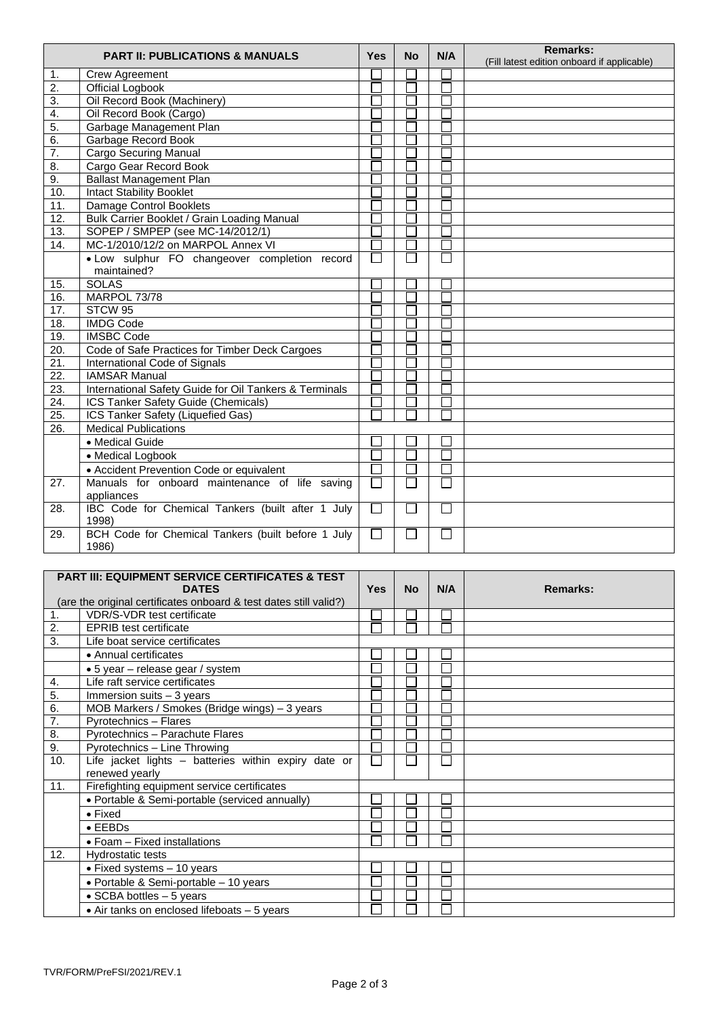| <b>PART II: PUBLICATIONS &amp; MANUALS</b> |                                                        | <b>Yes</b>    | <b>No</b> | N/A                         | <b>Remarks:</b><br>(Fill latest edition onboard if applicable) |
|--------------------------------------------|--------------------------------------------------------|---------------|-----------|-----------------------------|----------------------------------------------------------------|
| 1.                                         | <b>Crew Agreement</b>                                  |               |           |                             |                                                                |
| $\overline{2}$ .                           | <b>Official Logbook</b>                                |               |           |                             |                                                                |
| 3.                                         | Oil Record Book (Machinery)                            |               |           |                             |                                                                |
| 4.                                         | Oil Record Book (Cargo)                                |               |           |                             |                                                                |
| 5.                                         | Garbage Management Plan                                |               |           |                             |                                                                |
| 6.                                         | Garbage Record Book                                    |               |           |                             |                                                                |
| 7.                                         | Cargo Securing Manual                                  |               |           |                             |                                                                |
| 8.                                         | Cargo Gear Record Book                                 |               |           |                             |                                                                |
| 9.                                         | <b>Ballast Management Plan</b>                         |               |           |                             |                                                                |
| 10.                                        | <b>Intact Stability Booklet</b>                        |               |           |                             |                                                                |
| 11.                                        | Damage Control Booklets                                |               |           |                             |                                                                |
| 12.                                        | Bulk Carrier Booklet / Grain Loading Manual            |               |           |                             |                                                                |
| 13.                                        | SOPEP / SMPEP (see MC-14/2012/1)                       |               |           |                             |                                                                |
| 14.                                        | MC-1/2010/12/2 on MARPOL Annex VI                      |               |           |                             |                                                                |
|                                            | · Low sulphur FO changeover completion record          | ٦             |           | $\mathcal{L}_{\mathcal{A}}$ |                                                                |
|                                            | maintained?                                            |               |           |                             |                                                                |
| 15.                                        | <b>SOLAS</b>                                           |               |           |                             |                                                                |
| 16.                                        | MARPOL 73/78                                           |               |           |                             |                                                                |
| 17.                                        | STCW 95                                                |               |           |                             |                                                                |
| 18.                                        | <b>IMDG Code</b>                                       |               |           |                             |                                                                |
| 19.                                        | <b>IMSBC Code</b>                                      |               |           |                             |                                                                |
| 20.                                        | Code of Safe Practices for Timber Deck Cargoes         |               |           |                             |                                                                |
| 21.                                        | International Code of Signals                          |               |           |                             |                                                                |
| $\overline{22}$ .                          | <b>IAMSAR Manual</b>                                   |               |           |                             |                                                                |
| $\overline{23}$ .                          | International Safety Guide for Oil Tankers & Terminals |               |           |                             |                                                                |
| $\overline{24}$ .                          | ICS Tanker Safety Guide (Chemicals)                    |               |           |                             |                                                                |
| 25.                                        | ICS Tanker Safety (Liquefied Gas)                      |               |           |                             |                                                                |
| $\overline{26}$ .                          | <b>Medical Publications</b>                            |               |           |                             |                                                                |
|                                            | • Medical Guide                                        |               |           |                             |                                                                |
|                                            | • Medical Logbook                                      |               |           |                             |                                                                |
|                                            | • Accident Prevention Code or equivalent               |               |           |                             |                                                                |
| $\overline{27}$ .                          | Manuals for onboard maintenance of life saving         |               |           |                             |                                                                |
|                                            | appliances                                             |               |           |                             |                                                                |
| 28.                                        | IBC Code for Chemical Tankers (built after 1 July      | $\Box$        | I.        | $\Box$                      |                                                                |
|                                            | 1998)                                                  |               |           |                             |                                                                |
| 29.                                        | BCH Code for Chemical Tankers (built before 1 July     | $\mathcal{L}$ |           | $\mathcal{L}_{\mathcal{A}}$ |                                                                |
|                                            | 1986)                                                  |               |           |                             |                                                                |

|                | <b>PART III: EQUIPMENT SERVICE CERTIFICATES &amp; TEST</b>                                             |     |           |     |          |
|----------------|--------------------------------------------------------------------------------------------------------|-----|-----------|-----|----------|
|                | <b>DATES</b>                                                                                           | Yes | <b>No</b> | N/A | Remarks: |
| $\mathbf{1}$ . | (are the original certificates onboard & test dates still valid?)<br><b>VDR/S-VDR</b> test certificate |     |           |     |          |
| 2.             |                                                                                                        |     |           |     |          |
| 3.             | <b>EPRIB</b> test certificate                                                                          |     |           |     |          |
|                | Life boat service certificates                                                                         |     |           |     |          |
|                | • Annual certificates                                                                                  |     |           |     |          |
|                | • 5 year – release gear / system                                                                       |     |           |     |          |
| 4.             | Life raft service certificates                                                                         |     |           |     |          |
| 5.             | Immersion suits $-3$ years                                                                             |     |           |     |          |
| 6.             | MOB Markers / Smokes (Bridge wings) - 3 years                                                          |     |           |     |          |
| 7.             | Pyrotechnics - Flares                                                                                  |     |           |     |          |
| 8.             | Pyrotechnics - Parachute Flares                                                                        |     |           |     |          |
| 9.             | Pyrotechnics - Line Throwing                                                                           |     |           |     |          |
| 10.            | Life jacket lights - batteries within expiry date or                                                   |     |           |     |          |
|                | renewed yearly                                                                                         |     |           |     |          |
| 11.            | Firefighting equipment service certificates                                                            |     |           |     |          |
|                | • Portable & Semi-portable (serviced annually)                                                         |     |           |     |          |
|                | $\bullet$ Fixed                                                                                        |     |           |     |          |
|                | $\bullet$ EEBDs                                                                                        |     |           |     |          |
|                | $\bullet$ Foam - Fixed installations                                                                   |     |           |     |          |
| 12.            | Hydrostatic tests                                                                                      |     |           |     |          |
|                | • Fixed systems $-10$ years                                                                            |     |           |     |          |
|                | • Portable & Semi-portable - 10 years                                                                  |     |           |     |          |
|                | $\bullet$ SCBA bottles $-5$ years                                                                      |     |           |     |          |
|                | • Air tanks on enclosed lifeboats - 5 years                                                            |     |           |     |          |